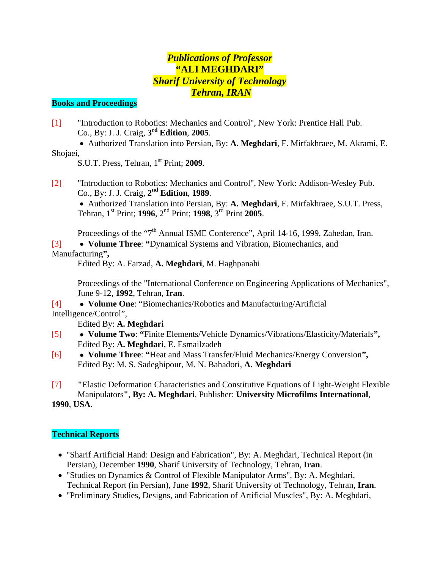## *Publications of Professor*  **"ALI MEGHDARI"**  *Sharif University of Technology Tehran, IRAN*

#### **Books and Proceedings**

[1] "Introduction to Robotics: Mechanics and Control", New York: Prentice Hall Pub. Co., By: J. J. Craig, **3rd Edition**, **2005**.

 • Authorized Translation into Persian, By: **A. Meghdari**, F. Mirfakhraee, M. Akrami, E. Shojaei,

S.U.T. Press, Tehran, 1st Print; **2009**.

[2] "Introduction to Robotics: Mechanics and Control", New York: Addison-Wesley Pub. Co., By: J. J. Craig, **2nd Edition**, **1989**.

 • Authorized Translation into Persian, By: **A. Meghdari**, F. Mirfakhraee, S.U.T. Press, Tehran, 1st Print; **1996**, 2nd Print; **1998**, 3rd Print **2005**.

Proceedings of the "7<sup>th</sup> Annual ISME Conference", April 14-16, 1999, Zahedan, Iran.

[3] • **Volume Three**: **"**Dynamical Systems and Vibration, Biomechanics, and Manufacturing**",**

Edited By: A. Farzad, **A. Meghdari**, M. Haghpanahi

 Proceedings of the "International Conference on Engineering Applications of Mechanics", June 9-12, **1992**, Tehran, **Iran**.

[4] • **Volume One**: "Biomechanics/Robotics and Manufacturing/Artificial Intelligence/Control",

Edited By: **A. Meghdari**

- [5] • **Volume Two**: **"**Finite Elements/Vehicle Dynamics/Vibrations/Elasticity/Materials**",** Edited By: **A. Meghdari**, E. Esmailzadeh
- [6] • **Volume Three**: **"**Heat and Mass Transfer/Fluid Mechanics/Energy Conversion**",** Edited By: M. S. Sadeghipour, M. N. Bahadori, **A. Meghdari**
- [7] **"**Elastic Deformation Characteristics and Constitutive Equations of Light-Weight Flexible Manipulators**"**, **By: A. Meghdari**, Publisher: **University Microfilms International**,

**1990**, **USA**.

### **Technical Reports**

- "Sharif Artificial Hand: Design and Fabrication", By: A. Meghdari, Technical Report (in Persian), December **1990**, Sharif University of Technology, Tehran, **Iran**.
- "Studies on Dynamics & Control of Flexible Manipulator Arms", By: A. Meghdari, Technical Report (in Persian), June **1992**, Sharif University of Technology, Tehran, **Iran**.
- "Preliminary Studies, Designs, and Fabrication of Artificial Muscles", By: A. Meghdari,